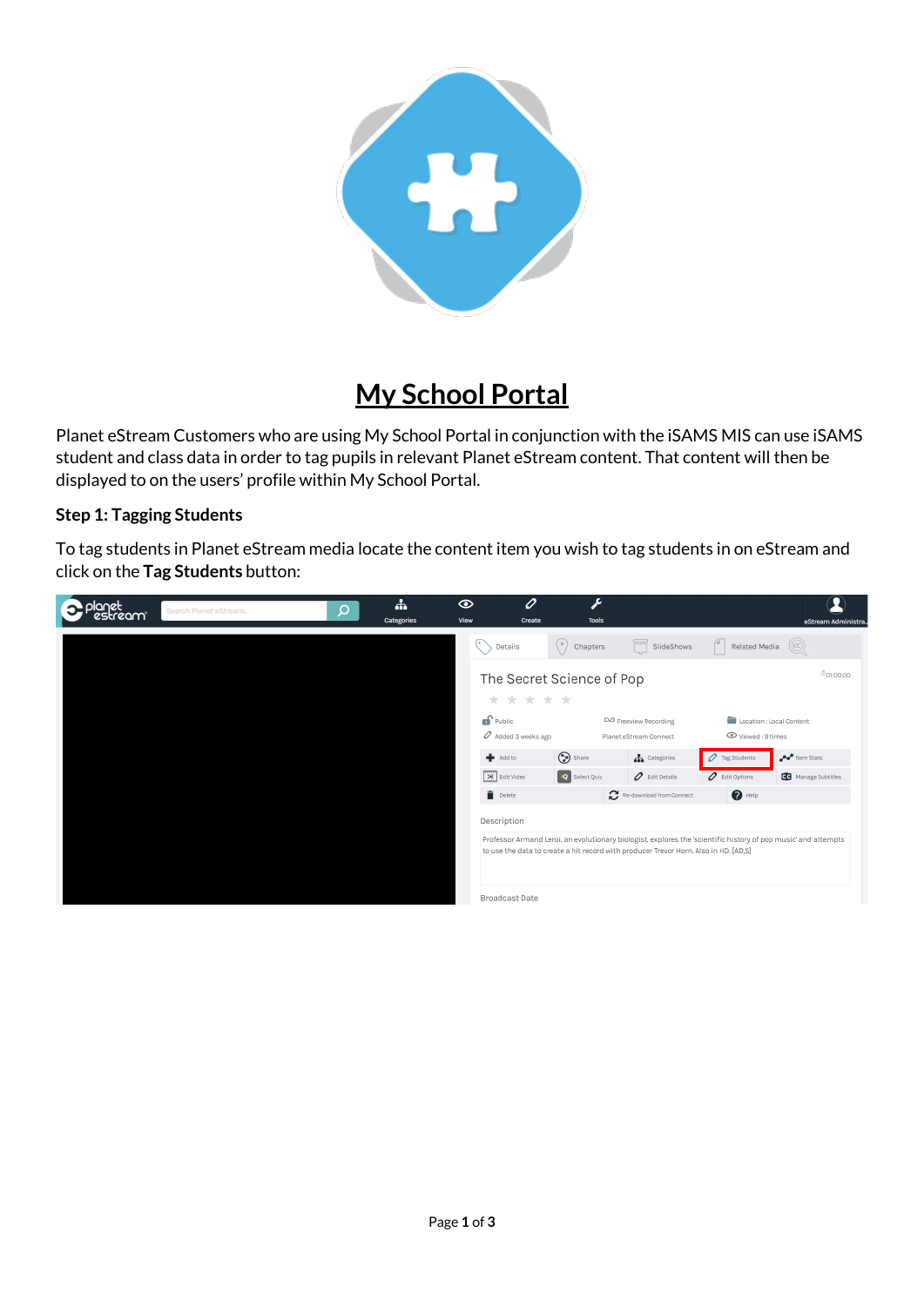

## **My School Portal**

Planet eStream Customers who are using My School Portal in conjunction with the iSAMS MIS can use iSAMS student and class data in order to tag pupils in relevant Planet eStream content. That content will then be displayed to on the users' profile within My School Portal.

## **Step 1: Tagging Students**

To tag students in Planet eStream media locate the content item you wish to tag students in on eStream and click on the **Tag Students** button:

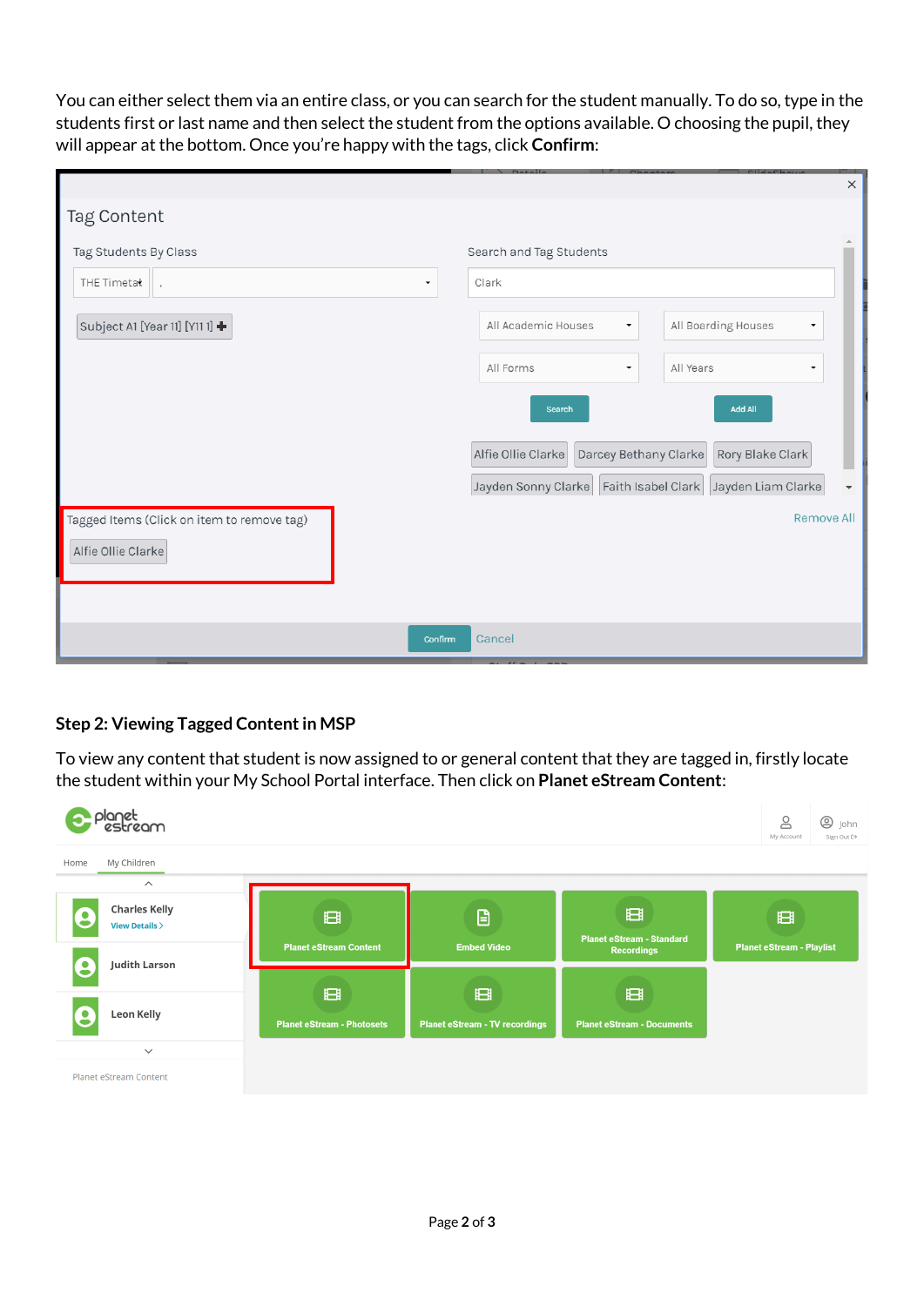You can either select them via an entire class, or you can search for the student manually. To do so, type in the students first or last name and then select the student from the options available. O choosing the pupil, they will appear at the bottom. Once you're happy with the tags, click **Confirm**:

|                                                                     |                                                                 | $\times$               |
|---------------------------------------------------------------------|-----------------------------------------------------------------|------------------------|
| Tag Content                                                         |                                                                 |                        |
| Tag Students By Class                                               | Search and Tag Students                                         |                        |
| THE Timetat<br>$\overline{\phantom{a}}$<br>$\overline{\phantom{a}}$ | Clark                                                           |                        |
| Subject A1 [Year 11] [Y11 1] +                                      | All Boarding Houses<br>All Academic Houses<br>۰                 |                        |
|                                                                     | All Forms<br>All Years<br>۰                                     |                        |
|                                                                     | <b>Add All</b><br><b>Search</b>                                 |                        |
|                                                                     | Alfie Ollie Clarke<br>Darcey Bethany Clarke<br>Rory Blake Clark |                        |
|                                                                     | Jayden Sonny Clarke   Faith Isabel Clark   Jayden Liam Clarke   | $\overline{\mathbf v}$ |
| Tagged Items (Click on item to remove tag)<br>Alfie Ollie Clarke    | <b>Remove All</b>                                               |                        |
|                                                                     |                                                                 |                        |
| Confirm                                                             | Cancel                                                          |                        |

## **Step 2: Viewing Tagged Content in MSP**

To view any content that student is now assigned to or general content that they are tagged in, firstly locate the student within your My School Portal interface. Then click on **Planet eStream Content**: